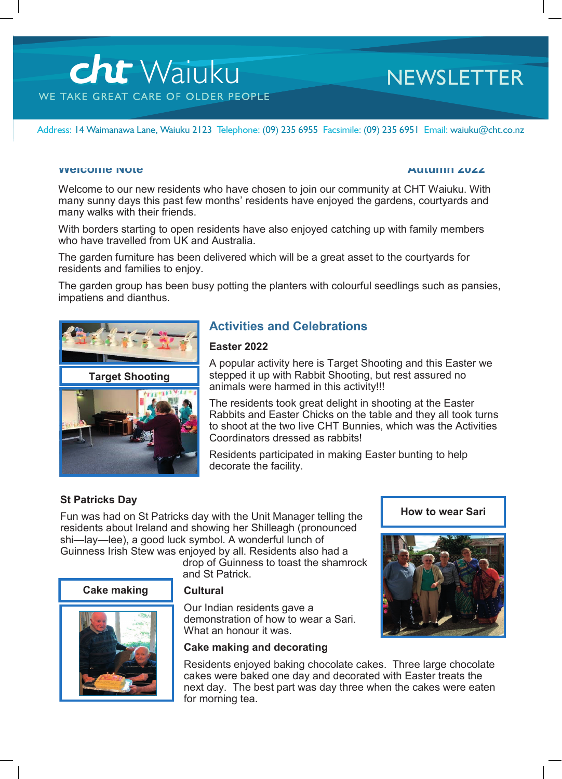# **cht** Waiuku WE TAKE GREAT CARE OF OLDER PEOPLE

### **NEWSLETTER**

Address: 14 Waimanawa Lane, Waiuku 2123 Telephone: (09) 235 6955 Facsimile: (09) 235 6951 Email: waiuku@cht.co.nz

#### **Welcome Note Autumn 2022**

Welcome to our new residents who have chosen to join our community at CHT Waiuku. With many sunny days this past few months' residents have enjoyed the gardens, courtyards and many walks with their friends.

With borders starting to open residents have also enjoyed catching up with family members who have travelled from UK and Australia.

The garden furniture has been delivered which will be a great asset to the courtyards for residents and families to enjoy.

The garden group has been busy potting the planters with colourful seedlings such as pansies, impatiens and dianthus.



#### **Activities and Celebrations**

#### **Easter 2022**

A popular activity here is Target Shooting and this Easter we stepped it up with Rabbit Shooting, but rest assured no animals were harmed in this activity!!!

The residents took great delight in shooting at the Easter Rabbits and Easter Chicks on the table and they all took turns to shoot at the two live CHT Bunnies, which was the Activities Coordinators dressed as rabbits!

Residents participated in making Easter bunting to help decorate the facility.

#### **St Patricks Day**

Fun was had on St Patricks day with the Unit Manager telling the residents about Ireland and showing her Shilleagh (pronounced shi-lay-lee), a good luck symbol. A wonderful lunch of Guinness Irish Stew was enjoyed by all. Residents also had a

drop of Guinness to toast the shamrock and St Patrick.

#### **Cake making**



#### **Cultural**

Our Indian residents gave a demonstration of how to wear a Sari. What an honour it was.

#### **Cake making and decorating**

**How to wear Sari**

Residents enjoyed baking chocolate cakes. Three large chocolate cakes were baked one day and decorated with Easter treats the next day. The best part was day three when the cakes were eaten for morning tea.